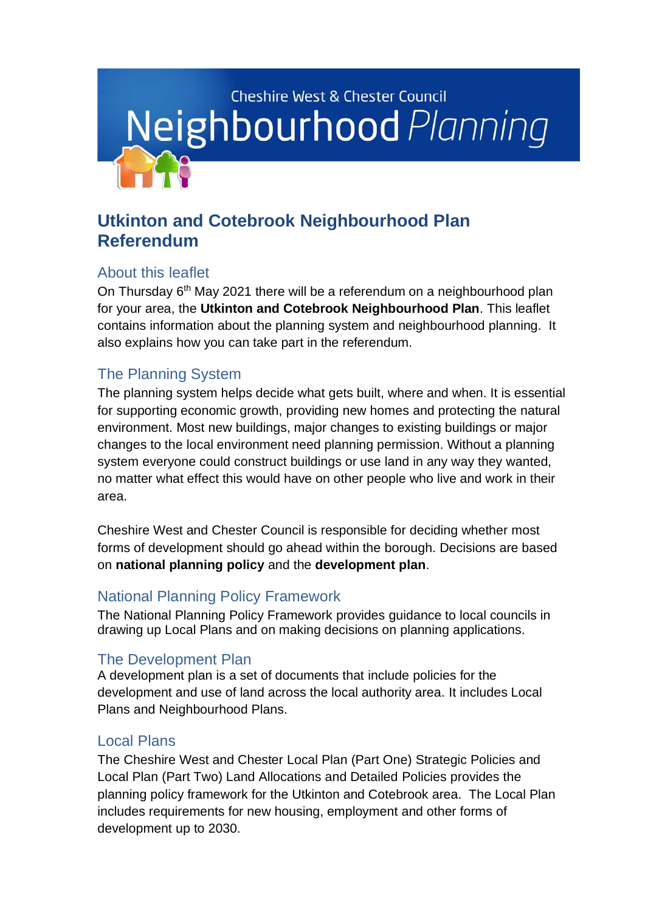

# **Utkinton and Cotebrook Neighbourhood Plan Referendum**

### About this leaflet

On Thursday 6<sup>th</sup> May 2021 there will be a referendum on a neighbourhood plan for your area, the **Utkinton and Cotebrook Neighbourhood Plan**. This leaflet contains information about the planning system and neighbourhood planning. It also explains how you can take part in the referendum.

# The Planning System

The planning system helps decide what gets built, where and when. It is essential for supporting economic growth, providing new homes and protecting the natural environment. Most new buildings, major changes to existing buildings or major changes to the local environment need planning permission. Without a planning system everyone could construct buildings or use land in any way they wanted, no matter what effect this would have on other people who live and work in their area.

Cheshire West and Chester Council is responsible for deciding whether most forms of development should go ahead within the borough. Decisions are based on **national planning policy** and the **development plan**.

## National Planning Policy Framework

The [National Planning Policy Framework](http://www.communities.gov.uk/publications/planningandbuilding/nppf) provides guidance to local councils in drawing up Local Plans and on making decisions on planning applications.

## The Development Plan

A development plan is a set of documents that include policies for the development and use of land across the local authority area. It includes Local Plans and Neighbourhood Plans.

### Local Plans

The Cheshire West and Chester Local Plan (Part One) Strategic Policies and Local Plan (Part Two) Land Allocations and Detailed Policies provides the planning policy framework for the Utkinton and Cotebrook area. The Local Plan includes requirements for new housing, employment and other forms of development up to 2030.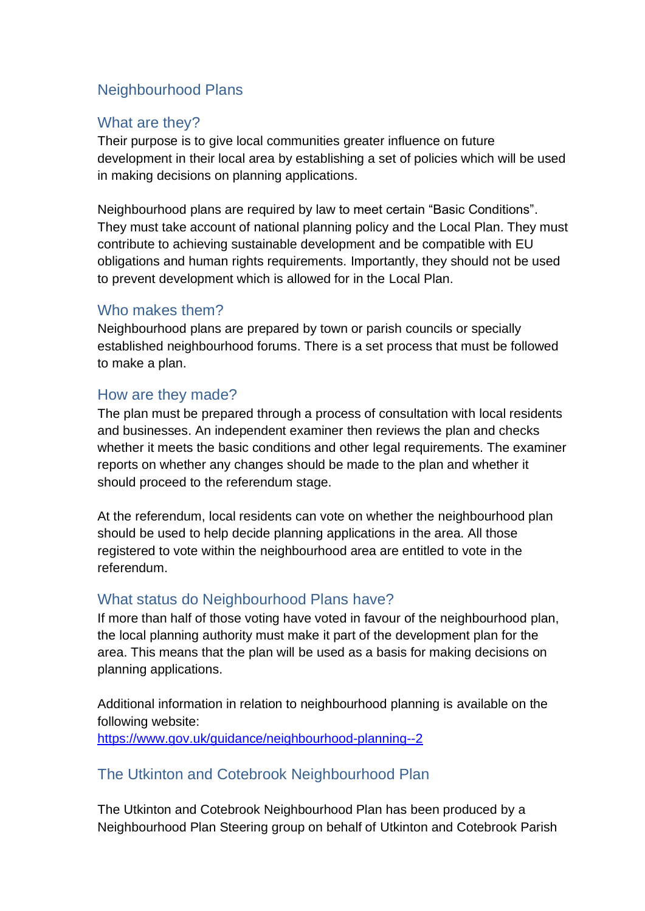### Neighbourhood Plans

#### What are they?

Their purpose is to give local communities greater influence on future development in their local area by establishing a set of policies which will be used in making decisions on planning applications.

Neighbourhood plans are required by law to meet certain "Basic Conditions". They must take account of national planning policy and the Local Plan. They must contribute to achieving sustainable development and be compatible with EU obligations and human rights requirements. Importantly, they should not be used to prevent development which is allowed for in the Local Plan.

#### Who makes them?

Neighbourhood plans are prepared by town or parish councils or specially established neighbourhood forums. There is a set process that must be followed to make a plan.

#### How are they made?

The plan must be prepared through a process of consultation with local residents and businesses. An independent examiner then reviews the plan and checks whether it meets the basic conditions and other legal requirements. The examiner reports on whether any changes should be made to the plan and whether it should proceed to the referendum stage.

At the referendum, local residents can vote on whether the neighbourhood plan should be used to help decide planning applications in the area. All those registered to vote within the neighbourhood area are entitled to vote in the referendum.

#### What status do Neighbourhood Plans have?

If more than half of those voting have voted in favour of the neighbourhood plan, the local planning authority must make it part of the development plan for the area. This means that the plan will be used as a basis for making decisions on planning applications.

Additional information in relation to neighbourhood planning is available on the following website: <https://www.gov.uk/guidance/neighbourhood-planning--2>

#### The Utkinton and Cotebrook Neighbourhood Plan

The Utkinton and Cotebrook Neighbourhood Plan has been produced by a Neighbourhood Plan Steering group on behalf of Utkinton and Cotebrook Parish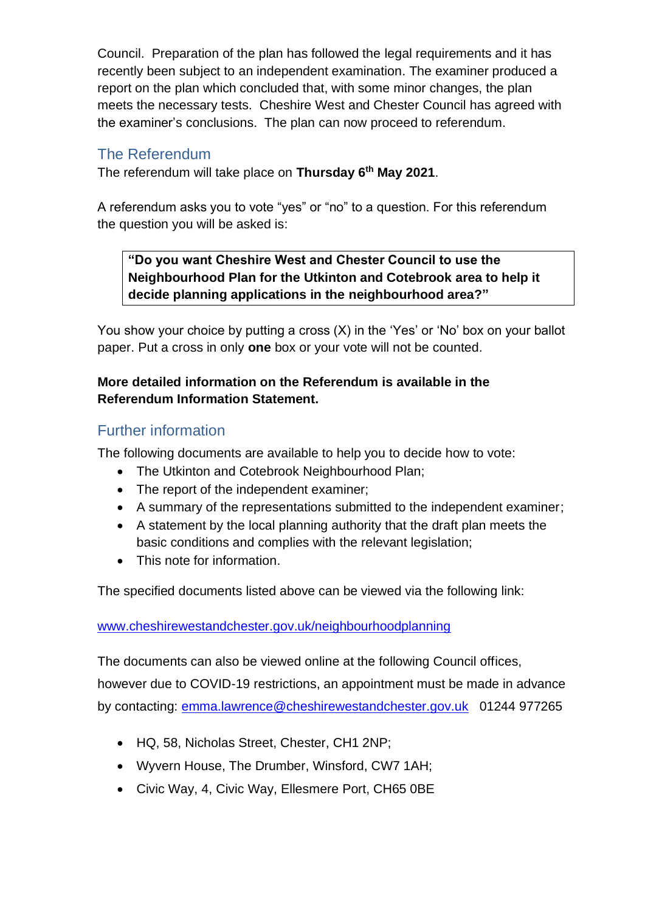Council. Preparation of the plan has followed the legal requirements and it has recently been subject to an independent examination. The examiner produced a report on the plan which concluded that, with some minor changes, the plan meets the necessary tests. Cheshire West and Chester Council has agreed with the examiner's conclusions. The plan can now proceed to referendum.

### The Referendum

The referendum will take place on **Thursday 6 th May 2021**.

A referendum asks you to vote "yes" or "no" to a question. For this referendum the question you will be asked is:

**"Do you want Cheshire West and Chester Council to use the Neighbourhood Plan for the Utkinton and Cotebrook area to help it decide planning applications in the neighbourhood area?"**

You show your choice by putting a cross (X) in the 'Yes' or 'No' box on your ballot paper. Put a cross in only **one** box or your vote will not be counted.

#### **More detailed information on the Referendum is available in the Referendum Information Statement.**

### Further information

The following documents are available to help you to decide how to vote:

- The Utkinton and Cotebrook Neighbourhood Plan:
- The report of the independent examiner;
- A summary of the representations submitted to the independent examiner;
- A statement by the local planning authority that the draft plan meets the basic conditions and complies with the relevant legislation:
- This note for information.

The specified documents listed above can be viewed via the following link:

[www.cheshirewestandchester.gov.uk/neighbourhoodplanning](http://www.cheshirewestandchester.gov.uk/neighbourhoodplanning)

The documents can also be viewed online at the following Council offices, however due to COVID-19 restrictions, an appointment must be made in advance by contacting: [emma.lawrence@cheshirewestandchester.gov.uk](mailto:emma.lawrence@cheshirewestandchester.gov.uk) 01244 977265

- HQ, 58, Nicholas Street, Chester, CH1 2NP;
- Wyvern House, The Drumber, Winsford, CW7 1AH;
- Civic Way, 4, Civic Way, Ellesmere Port, CH65 0BE